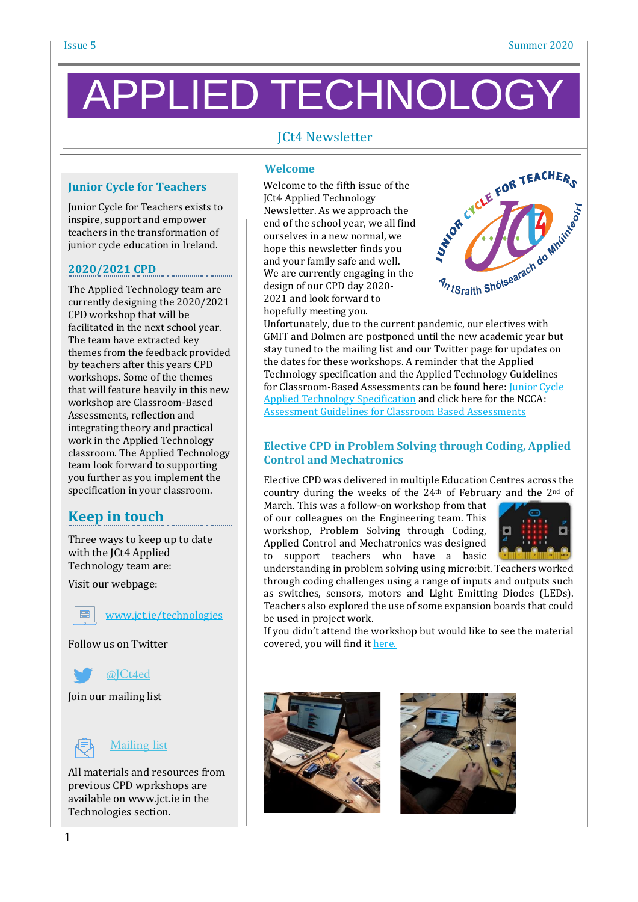# PPLIED TECHNOLC

## JCt4 Newsletter

### **Junior Cycle for Teachers**

Junior Cycle for Teachers exists to inspire, support and empower teachers in the transformation of junior cycle education in Ireland.

#### **2020/2021 CPD**

The Applied Technology team are currently designing the 2020/2021 CPD workshop that will be facilitated in the next school year. The team have extracted key themes from the feedback provided by teachers after this years CPD workshops. Some of the themes that will feature heavily in this new workshop are Classroom-Based Assessments, reflection and integrating theory and practical work in the Applied Technology classroom. The Applied Technology team look forward to supporting you further as you implement the specification in your classroom.

# **Keep in touch**

Three ways to keep up to date with the JCt4 Applied Technology team are:

Visit our webpage:

[www.jct.ie/technologies](http://www.jct.ie/technologies)

Follow us on Twitter



Join our mailing list



All materials and resources from previous CPD wprkshops are available on [www.jct.ie](http://www.jct.ie/) in the Technologies section.

#### **Welcome**

 Welcome to the fifth issue of the JCt4 Applied Technology Newsletter. As we approach the end of the school year, we all find ourselves in a new normal, we hope this newsletter finds you and your family safe and well. We are currently engaging in the design of our CPD day 2020- 2021 and look forward to hopefully meeting you. Unfortunately, due to the current pandemic, our electives with<br>Unfortunately, due to the current pandemic, our electives with



GMIT and Dolmen are postponed until the new academic year but stay tuned to the mailing list and our Twitter page for updates on the dates for these workshops. A reminder that the Applied Technology specification and the Applied Technology Guidelines for Classroom-Based Assessments can be found here: [Junior](https://www.curriculumonline.ie/getmedia/2c3fc3c0-064c-4080-980e-a2738512b85b/Applied-Technology.pdf) Cycle Applied Technology [Specification](https://www.curriculumonline.ie/getmedia/2c3fc3c0-064c-4080-980e-a2738512b85b/Applied-Technology.pdf) and click here for the NCCA: Assessment Guidelines for Classroom Based [Assessments](https://www.curriculumonline.ie/getmedia/07aba039-b0df-4612-a071-8e225ae71977/Applied-Technology-AG.pdf)

#### **Elective CPD in Problem Solving through Coding, Applied Control and Mechatronics**

Elective CPD was delivered in multiple Education Centres across the country during the weeks of the  $24<sup>th</sup>$  of February and the  $2<sup>nd</sup>$  of

March. This was a follow-on workshop from that of our colleagues on the Engineering team. This workshop, Problem Solving through Coding, Applied Control and Mechatronics was designed to support teachers who have a basic



understanding in problem solving using micro:bit. Teachers worked through coding challenges using a range of inputs and outputs such as switches, sensors, motors and Light Emitting Diodes (LEDs). Teachers also explored the use of some expansion boards that could be used in project work.

If you didn't attend the workshop but would like to see the material covered, you will find it [here.](https://www.jct.ie/technologies/cpd_supports_applied_technology_elective_workshops)